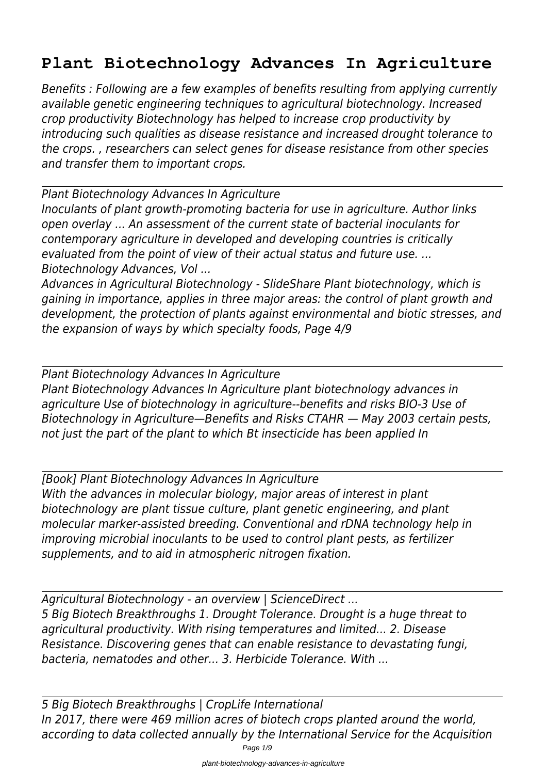## **Plant Biotechnology Advances In Agriculture**

*Benefits : Following are a few examples of benefits resulting from applying currently available genetic engineering techniques to agricultural biotechnology. Increased crop productivity Biotechnology has helped to increase crop productivity by introducing such qualities as disease resistance and increased drought tolerance to the crops. , researchers can select genes for disease resistance from other species and transfer them to important crops.*

*Plant Biotechnology Advances In Agriculture*

*Inoculants of plant growth-promoting bacteria for use in agriculture. Author links open overlay ... An assessment of the current state of bacterial inoculants for contemporary agriculture in developed and developing countries is critically evaluated from the point of view of their actual status and future use. ... Biotechnology Advances, Vol ...*

*Advances in Agricultural Biotechnology - SlideShare Plant biotechnology, which is gaining in importance, applies in three major areas: the control of plant growth and development, the protection of plants against environmental and biotic stresses, and the expansion of ways by which specialty foods, Page 4/9*

*Plant Biotechnology Advances In Agriculture Plant Biotechnology Advances In Agriculture plant biotechnology advances in agriculture Use of biotechnology in agriculture--benefits and risks BIO-3 Use of Biotechnology in Agriculture—Benefits and Risks CTAHR — May 2003 certain pests, not just the part of the plant to which Bt insecticide has been applied In*

*[Book] Plant Biotechnology Advances In Agriculture With the advances in molecular biology, major areas of interest in plant biotechnology are plant tissue culture, plant genetic engineering, and plant molecular marker-assisted breeding. Conventional and rDNA technology help in improving microbial inoculants to be used to control plant pests, as fertilizer supplements, and to aid in atmospheric nitrogen fixation.*

*Agricultural Biotechnology - an overview | ScienceDirect ... 5 Big Biotech Breakthroughs 1. Drought Tolerance. Drought is a huge threat to agricultural productivity. With rising temperatures and limited... 2. Disease Resistance. Discovering genes that can enable resistance to devastating fungi, bacteria, nematodes and other... 3. Herbicide Tolerance. With ...*

*5 Big Biotech Breakthroughs | CropLife International In 2017, there were 469 million acres of biotech crops planted around the world, according to data collected annually by the International Service for the Acquisition*

Page 1/9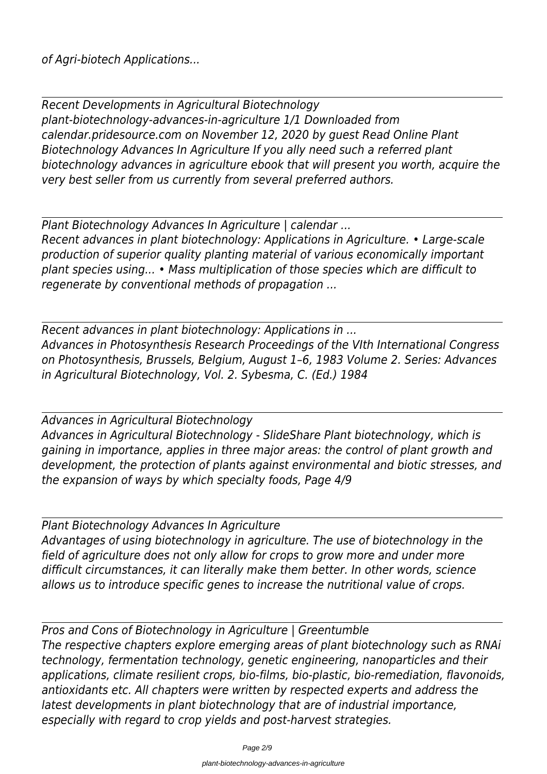*Recent Developments in Agricultural Biotechnology plant-biotechnology-advances-in-agriculture 1/1 Downloaded from calendar.pridesource.com on November 12, 2020 by guest Read Online Plant Biotechnology Advances In Agriculture If you ally need such a referred plant biotechnology advances in agriculture ebook that will present you worth, acquire the very best seller from us currently from several preferred authors.*

*Plant Biotechnology Advances In Agriculture | calendar ... Recent advances in plant biotechnology: Applications in Agriculture. • Large-scale production of superior quality planting material of various economically important plant species using... • Mass multiplication of those species which are difficult to regenerate by conventional methods of propagation ...*

*Recent advances in plant biotechnology: Applications in ... Advances in Photosynthesis Research Proceedings of the VIth International Congress on Photosynthesis, Brussels, Belgium, August 1–6, 1983 Volume 2. Series: Advances in Agricultural Biotechnology, Vol. 2. Sybesma, C. (Ed.) 1984*

*Advances in Agricultural Biotechnology Advances in Agricultural Biotechnology - SlideShare Plant biotechnology, which is gaining in importance, applies in three major areas: the control of plant growth and development, the protection of plants against environmental and biotic stresses, and the expansion of ways by which specialty foods, Page 4/9*

*Plant Biotechnology Advances In Agriculture Advantages of using biotechnology in agriculture. The use of biotechnology in the field of agriculture does not only allow for crops to grow more and under more difficult circumstances, it can literally make them better. In other words, science allows us to introduce specific genes to increase the nutritional value of crops.*

*Pros and Cons of Biotechnology in Agriculture | Greentumble The respective chapters explore emerging areas of plant biotechnology such as RNAi technology, fermentation technology, genetic engineering, nanoparticles and their applications, climate resilient crops, bio-films, bio-plastic, bio-remediation, flavonoids, antioxidants etc. All chapters were written by respected experts and address the latest developments in plant biotechnology that are of industrial importance, especially with regard to crop yields and post-harvest strategies.*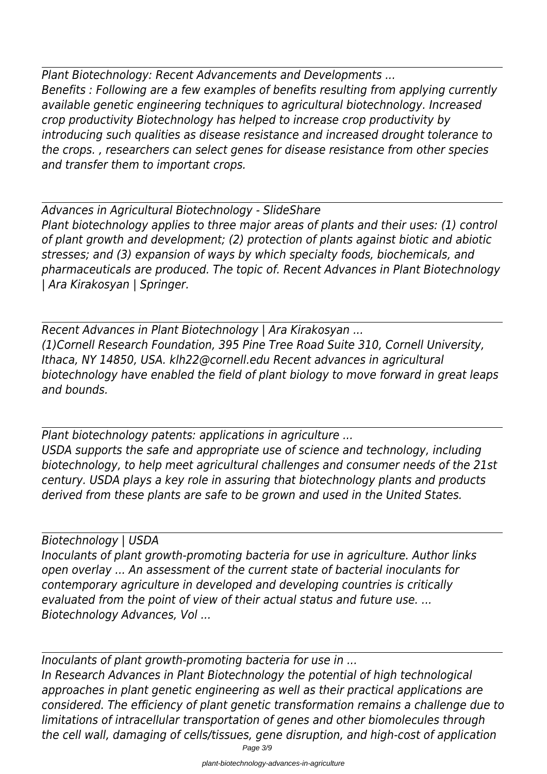*Plant Biotechnology: Recent Advancements and Developments ... Benefits : Following are a few examples of benefits resulting from applying currently available genetic engineering techniques to agricultural biotechnology. Increased crop productivity Biotechnology has helped to increase crop productivity by introducing such qualities as disease resistance and increased drought tolerance to the crops. , researchers can select genes for disease resistance from other species and transfer them to important crops.*

*Advances in Agricultural Biotechnology - SlideShare Plant biotechnology applies to three major areas of plants and their uses: (1) control of plant growth and development; (2) protection of plants against biotic and abiotic stresses; and (3) expansion of ways by which specialty foods, biochemicals, and pharmaceuticals are produced. The topic of. Recent Advances in Plant Biotechnology | Ara Kirakosyan | Springer.*

*Recent Advances in Plant Biotechnology | Ara Kirakosyan ... (1)Cornell Research Foundation, 395 Pine Tree Road Suite 310, Cornell University, Ithaca, NY 14850, USA. klh22@cornell.edu Recent advances in agricultural biotechnology have enabled the field of plant biology to move forward in great leaps and bounds.*

*Plant biotechnology patents: applications in agriculture ... USDA supports the safe and appropriate use of science and technology, including biotechnology, to help meet agricultural challenges and consumer needs of the 21st century. USDA plays a key role in assuring that biotechnology plants and products derived from these plants are safe to be grown and used in the United States.*

*Biotechnology | USDA Inoculants of plant growth-promoting bacteria for use in agriculture. Author links open overlay ... An assessment of the current state of bacterial inoculants for contemporary agriculture in developed and developing countries is critically evaluated from the point of view of their actual status and future use. ... Biotechnology Advances, Vol ...*

*Inoculants of plant growth-promoting bacteria for use in ... In Research Advances in Plant Biotechnology the potential of high technological approaches in plant genetic engineering as well as their practical applications are considered. The efficiency of plant genetic transformation remains a challenge due to limitations of intracellular transportation of genes and other biomolecules through the cell wall, damaging of cells/tissues, gene disruption, and high-cost of application*

Page 3/9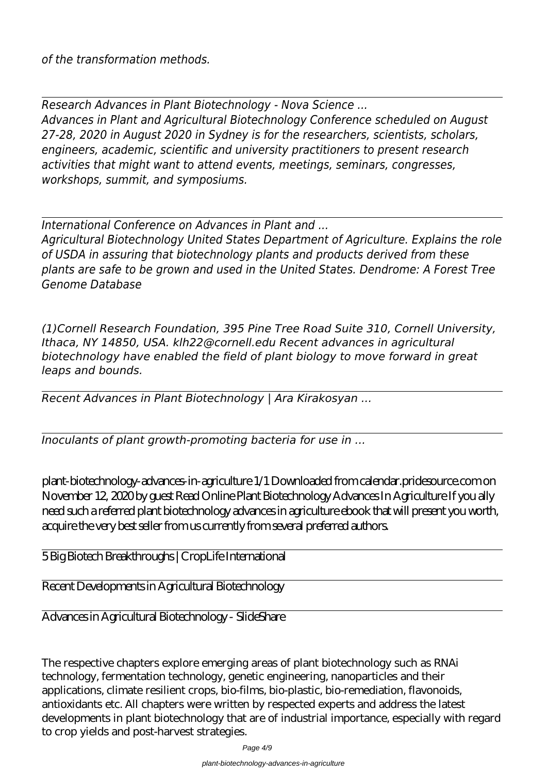*of the transformation methods.*

*Research Advances in Plant Biotechnology - Nova Science ... Advances in Plant and Agricultural Biotechnology Conference scheduled on August 27-28, 2020 in August 2020 in Sydney is for the researchers, scientists, scholars, engineers, academic, scientific and university practitioners to present research activities that might want to attend events, meetings, seminars, congresses, workshops, summit, and symposiums.*

*International Conference on Advances in Plant and ...*

*Agricultural Biotechnology United States Department of Agriculture. Explains the role of USDA in assuring that biotechnology plants and products derived from these plants are safe to be grown and used in the United States. Dendrome: A Forest Tree Genome Database*

*(1)Cornell Research Foundation, 395 Pine Tree Road Suite 310, Cornell University, Ithaca, NY 14850, USA. klh22@cornell.edu Recent advances in agricultural biotechnology have enabled the field of plant biology to move forward in great leaps and bounds.*

*Recent Advances in Plant Biotechnology | Ara Kirakosyan ...*

*Inoculants of plant growth-promoting bacteria for use in ...*

plant-biotechnology-advances-in-agriculture 1/1 Downloaded from calendar.pridesource.com on November 12, 2020 by guest Read Online Plant Biotechnology Advances In Agriculture If you ally need such a referred plant biotechnology advances in agriculture ebook that will present you worth, acquire the very best seller from us currently from several preferred authors.

5 Big Biotech Breakthroughs | CropLife International

Recent Developments in Agricultural Biotechnology

Advances in Agricultural Biotechnology - SlideShare

The respective chapters explore emerging areas of plant biotechnology such as RNAi technology, fermentation technology, genetic engineering, nanoparticles and their applications, climate resilient crops, bio-films, bio-plastic, bio-remediation, flavonoids, antioxidants etc. All chapters were written by respected experts and address the latest developments in plant biotechnology that are of industrial importance, especially with regard to crop yields and post-harvest strategies.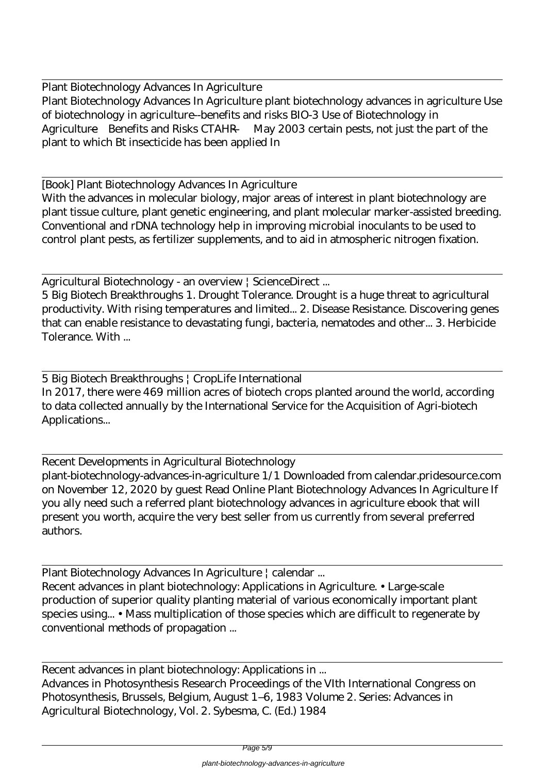Plant Biotechnology Advances In Agriculture Plant Biotechnology Advances In Agriculture plant biotechnology advances in agriculture Use of biotechnology in agriculture--benefits and risks BIO-3 Use of Biotechnology in Agriculture—Benefits and Risks CTAHR — May 2003 certain pests, not just the part of the plant to which Bt insecticide has been applied In

[Book] Plant Biotechnology Advances In Agriculture

With the advances in molecular biology, major areas of interest in plant biotechnology are plant tissue culture, plant genetic engineering, and plant molecular marker-assisted breeding. Conventional and rDNA technology help in improving microbial inoculants to be used to control plant pests, as fertilizer supplements, and to aid in atmospheric nitrogen fixation.

Agricultural Biotechnology - an overview | ScienceDirect ...

5 Big Biotech Breakthroughs 1. Drought Tolerance. Drought is a huge threat to agricultural productivity. With rising temperatures and limited... 2. Disease Resistance. Discovering genes that can enable resistance to devastating fungi, bacteria, nematodes and other... 3. Herbicide Tolerance. With ...

5 Big Biotech Breakthroughs | CropLife International In 2017, there were 469 million acres of biotech crops planted around the world, according to data collected annually by the International Service for the Acquisition of Agri-biotech Applications...

Recent Developments in Agricultural Biotechnology plant-biotechnology-advances-in-agriculture 1/1 Downloaded from calendar.pridesource.com on November 12, 2020 by guest Read Online Plant Biotechnology Advances In Agriculture If you ally need such a referred plant biotechnology advances in agriculture ebook that will present you worth, acquire the very best seller from us currently from several preferred authors.

Plant Biotechnology Advances In Agriculture | calendar ... Recent advances in plant biotechnology: Applications in Agriculture. • Large-scale production of superior quality planting material of various economically important plant species using... • Mass multiplication of those species which are difficult to regenerate by conventional methods of propagation ...

Recent advances in plant biotechnology: Applications in ... Advances in Photosynthesis Research Proceedings of the VIth International Congress on Photosynthesis, Brussels, Belgium, August 1–6, 1983 Volume 2. Series: Advances in Agricultural Biotechnology, Vol. 2. Sybesma, C. (Ed.) 1984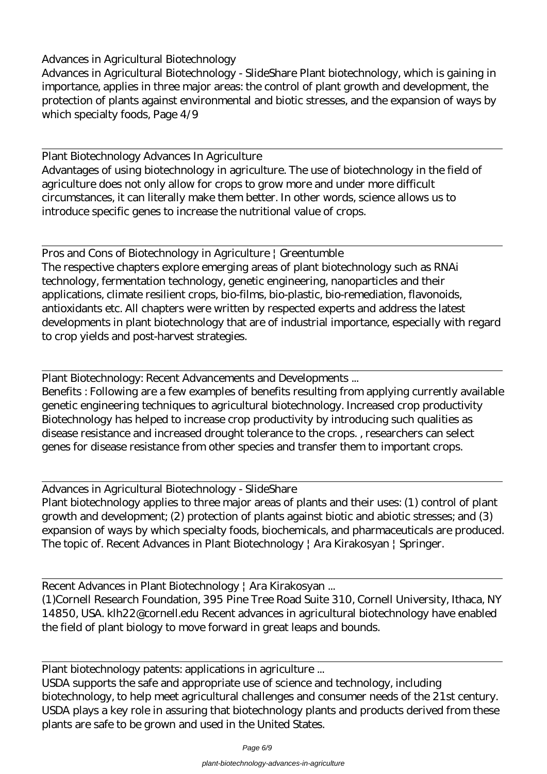Advances in Agricultural Biotechnology - SlideShare Plant biotechnology, which is gaining in importance, applies in three major areas: the control of plant growth and development, the protection of plants against environmental and biotic stresses, and the expansion of ways by which specialty foods, Page 4/9

Plant Biotechnology Advances In Agriculture

Advantages of using biotechnology in agriculture. The use of biotechnology in the field of agriculture does not only allow for crops to grow more and under more difficult circumstances, it can literally make them better. In other words, science allows us to introduce specific genes to increase the nutritional value of crops.

Pros and Cons of Biotechnology in Agriculture | Greentumble The respective chapters explore emerging areas of plant biotechnology such as RNAi technology, fermentation technology, genetic engineering, nanoparticles and their applications, climate resilient crops, bio-films, bio-plastic, bio-remediation, flavonoids, antioxidants etc. All chapters were written by respected experts and address the latest developments in plant biotechnology that are of industrial importance, especially with regard to crop yields and post-harvest strategies.

Plant Biotechnology: Recent Advancements and Developments ...

Benefits : Following are a few examples of benefits resulting from applying currently available genetic engineering techniques to agricultural biotechnology. Increased crop productivity Biotechnology has helped to increase crop productivity by introducing such qualities as disease resistance and increased drought tolerance to the crops. , researchers can select genes for disease resistance from other species and transfer them to important crops.

Advances in Agricultural Biotechnology - SlideShare Plant biotechnology applies to three major areas of plants and their uses: (1) control of plant growth and development; (2) protection of plants against biotic and abiotic stresses; and (3) expansion of ways by which specialty foods, biochemicals, and pharmaceuticals are produced. The topic of. Recent Advances in Plant Biotechnology | Ara Kirakosyan | Springer.

Recent Advances in Plant Biotechnology | Ara Kirakosyan ...

(1)Cornell Research Foundation, 395 Pine Tree Road Suite 310, Cornell University, Ithaca, NY 14850, USA. klh22@cornell.edu Recent advances in agricultural biotechnology have enabled the field of plant biology to move forward in great leaps and bounds.

Plant biotechnology patents: applications in agriculture ...

USDA supports the safe and appropriate use of science and technology, including biotechnology, to help meet agricultural challenges and consumer needs of the 21st century. USDA plays a key role in assuring that biotechnology plants and products derived from these plants are safe to be grown and used in the United States.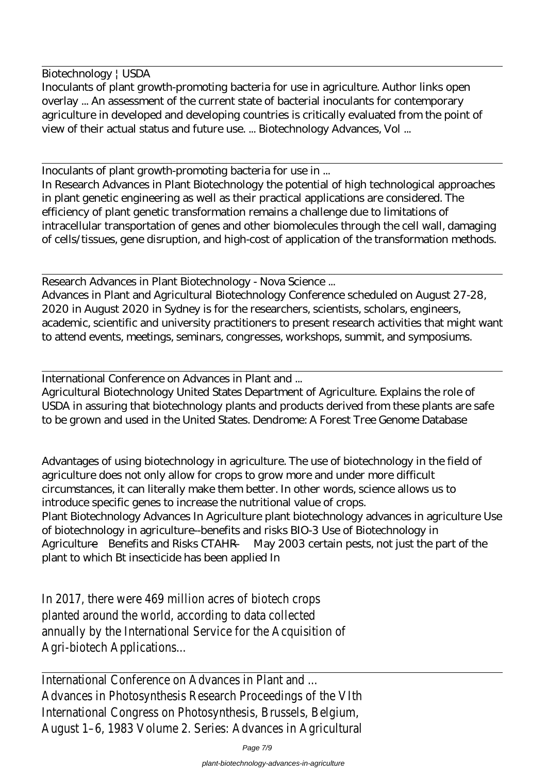Biotechnology | USDA

Inoculants of plant growth-promoting bacteria for use in agriculture. Author links open overlay ... An assessment of the current state of bacterial inoculants for contemporary agriculture in developed and developing countries is critically evaluated from the point of view of their actual status and future use. ... Biotechnology Advances, Vol ...

Inoculants of plant growth-promoting bacteria for use in ...

In Research Advances in Plant Biotechnology the potential of high technological approaches in plant genetic engineering as well as their practical applications are considered. The efficiency of plant genetic transformation remains a challenge due to limitations of intracellular transportation of genes and other biomolecules through the cell wall, damaging of cells/tissues, gene disruption, and high-cost of application of the transformation methods.

Research Advances in Plant Biotechnology - Nova Science ...

Advances in Plant and Agricultural Biotechnology Conference scheduled on August 27-28, 2020 in August 2020 in Sydney is for the researchers, scientists, scholars, engineers, academic, scientific and university practitioners to present research activities that might want to attend events, meetings, seminars, congresses, workshops, summit, and symposiums.

International Conference on Advances in Plant and ...

Agricultural Biotechnology United States Department of Agriculture. Explains the role of USDA in assuring that biotechnology plants and products derived from these plants are safe to be grown and used in the United States. Dendrome: A Forest Tree Genome Database

Advantages of using biotechnology in agriculture. The use of biotechnology in the field of agriculture does not only allow for crops to grow more and under more difficult circumstances, it can literally make them better. In other words, science allows us to introduce specific genes to increase the nutritional value of crops. Plant Biotechnology Advances In Agriculture plant biotechnology advances in agriculture Use of biotechnology in agriculture--benefits and risks BIO-3 Use of Biotechnology in Agriculture—Benefits and Risks CTAHR — May 2003 certain pests, not just the part of the plant to which Bt insecticide has been applied In

In 2017, there were 469 million acres of biotech crops planted around the world, according to data collected annually by the International Service for the Acquisition of Agri-biotech Applications...

International Conference on Advances in Plant and Advances in Photosynthesis Research Proceedings of the VIth International Congress on Photosynthesis, Brussels, Belgium, August 1–6, 1983 Volume 2. Series: Advances in Agricultural

Page 7/9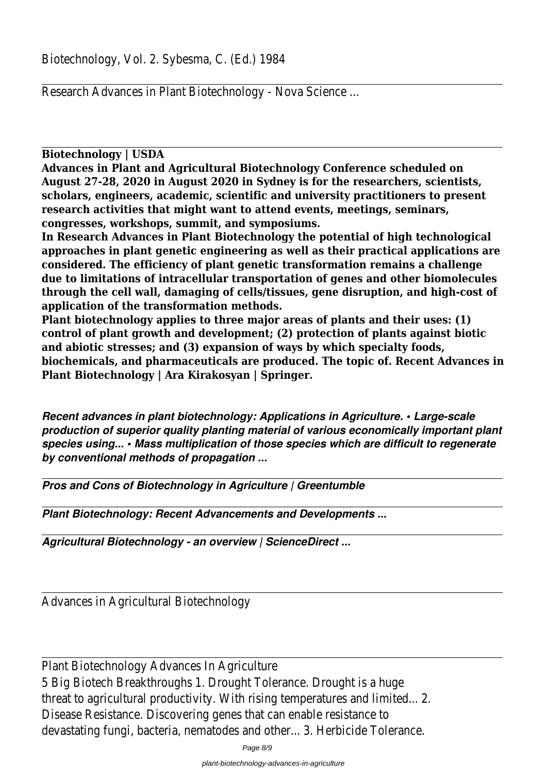Research Advances in Plant Biotechnology - Nova Science ...

**Biotechnology | USDA**

**Advances in Plant and Agricultural Biotechnology Conference scheduled on August 27-28, 2020 in August 2020 in Sydney is for the researchers, scientists, scholars, engineers, academic, scientific and university practitioners to present research activities that might want to attend events, meetings, seminars, congresses, workshops, summit, and symposiums.**

**In Research Advances in Plant Biotechnology the potential of high technological approaches in plant genetic engineering as well as their practical applications are considered. The efficiency of plant genetic transformation remains a challenge due to limitations of intracellular transportation of genes and other biomolecules through the cell wall, damaging of cells/tissues, gene disruption, and high-cost of application of the transformation methods.**

**Plant biotechnology applies to three major areas of plants and their uses: (1) control of plant growth and development; (2) protection of plants against biotic and abiotic stresses; and (3) expansion of ways by which specialty foods, biochemicals, and pharmaceuticals are produced. The topic of. Recent Advances in Plant Biotechnology | Ara Kirakosyan | Springer.**

*Recent advances in plant biotechnology: Applications in Agriculture. • Large-scale production of superior quality planting material of various economically important plant species using... • Mass multiplication of those species which are difficult to regenerate by conventional methods of propagation ...*

*Pros and Cons of Biotechnology in Agriculture | Greentumble*

*Plant Biotechnology: Recent Advancements and Developments ...*

*Agricultural Biotechnology - an overview | ScienceDirect ...*

Advances in Agricultural Biotechnology

Plant Biotechnology Advances In Agriculture 5 Big Biotech Breakthroughs 1. Drought Tolerance. Drought is a huge threat to agricultural productivity. With rising temperatures and limited... 2. Disease Resistance. Discovering genes that can enable resistance to devastating fungi, bacteria, nematodes and other... 3. Herbicide Tolerance.

Page 8/9